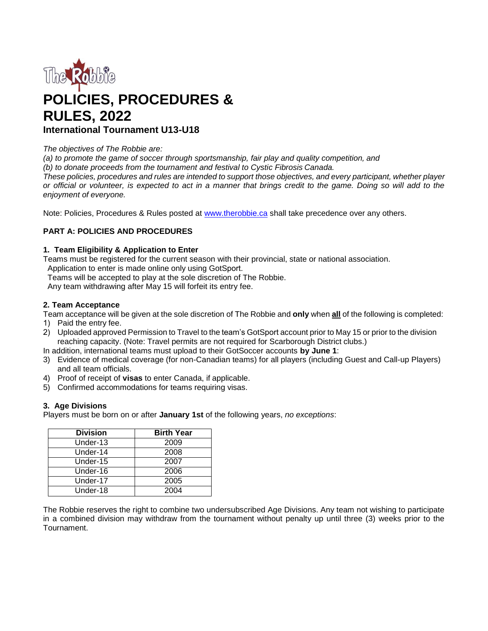

# **POLICIES, PROCEDURES & RULES, 2022 International Tournament U13-U18**

## *The objectives of The Robbie are:*

*(a) to promote the game of soccer through sportsmanship, fair play and quality competition, and*

*(b) to donate proceeds from the tournament and festival to Cystic Fibrosis Canada.*

*These policies, procedures and rules are intended to support those objectives, and every participant, whether player or official or volunteer, is expected to act in a manner that brings credit to the game. Doing so will add to the enjoyment of everyone.*

Note: Policies, Procedures & Rules posted at [www.therobbie.ca s](http://www.therobbie.ca/)hall take precedence over any others.

# **PART A: POLICIES AND PROCEDURES**

# **1. Team Eligibility & Application to Enter**

Teams must be registered for the current season with their provincial, state or national association. Application to enter is made online only using GotSport.

Teams will be accepted to play at the sole discretion of The Robbie.

Any team withdrawing after May 15 will forfeit its entry fee.

# **2. Team Acceptance**

Team acceptance will be given at the sole discretion of The Robbie and **only** when **all** of the following is completed:

- 1) Paid the entry fee.
- 2) Uploaded approved Permission to Travel to the team's GotSport account prior to May 15 or prior to the division reaching capacity. (Note: Travel permits are not required for Scarborough District clubs.)

In addition, international teams must upload to their GotSoccer accounts **by June 1**:

- 3) Evidence of medical coverage (for non-Canadian teams) for all players (including Guest and Call-up Players) and all team officials.
- 4) Proof of receipt of **visas** to enter Canada, if applicable.
- 5) Confirmed accommodations for teams requiring visas.

## **3. Age Divisions**

Players must be born on or after **January 1st** of the following years, *no exceptions*:

| <b>Division</b> | <b>Birth Year</b> |
|-----------------|-------------------|
| Under-13        | 2009              |
| Under-14        | 2008              |
| Under-15        | 2007              |
| Under-16        | 2006              |
| Under-17        | 2005              |
| Under-18        | 2004              |

The Robbie reserves the right to combine two undersubscribed Age Divisions. Any team not wishing to participate in a combined division may withdraw from the tournament without penalty up until three (3) weeks prior to the Tournament.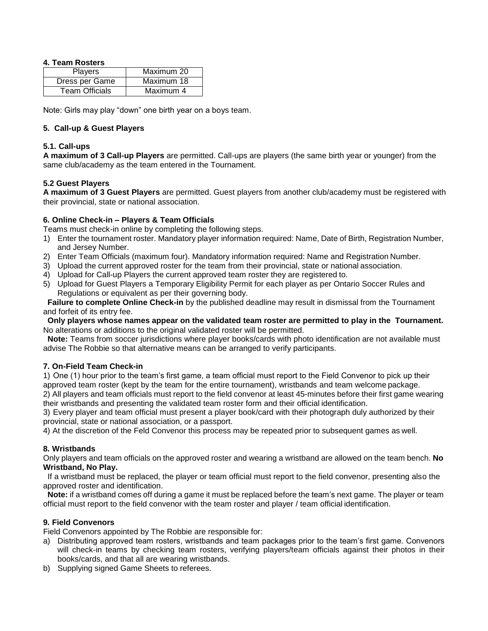# **4. Team Rosters**

| <b>Players</b>        | Maximum 20 |
|-----------------------|------------|
| Dress per Game        | Maximum 18 |
| <b>Team Officials</b> | Maximum 4  |

Note: Girls may play "down" one birth year on a boys team.

## **5. Call-up & Guest Players**

## **5.1. Call-ups**

**A maximum of 3 Call-up Players** are permitted. Call-ups are players (the same birth year or younger) from the same club/academy as the team entered in the Tournament.

# **5.2 Guest Players**

**A maximum of 3 Guest Players** are permitted. Guest players from another club/academy must be registered with their provincial, state or national association.

# **6. Online Check-in – Players & Team Officials**

Teams must check-in online by completing the following steps.

- 1) Enter the tournament roster. Mandatory player information required: Name, Date of Birth, Registration Number, and Jersey Number.
- 2) Enter Team Officials (maximum four). Mandatory information required: Name and Registration Number.
- 3) Upload the current approved roster for the team from their provincial, state or national association.
- 4) Upload for Call-up Players the current approved team roster they are registered to.
- 5) Upload for Guest Players a Temporary Eligibility Permit for each player as per Ontario Soccer Rules and Regulations or equivalent as per their governing body.

**Failure to complete Online Check-in** by the published deadline may result in dismissal from the Tournament and forfeit of its entry fee.

**Only players whose names appear on the validated team roster are permitted to play in the Tournament.** No alterations or additions to the original validated roster will be permitted.

**Note:** Teams from soccer jurisdictions where player books/cards with photo identification are not available must advise The Robbie so that alternative means can be arranged to verify participants.

## **7. On-Field Team Check-in**

1) One (1) hour prior to the team's first game, a team official must report to the Field Convenor to pick up their approved team roster (kept by the team for the entire tournament), wristbands and team welcome package.

2) All players and team officials must report to the field convenor at least 45-minutes before their first game wearing their wristbands and presenting the validated team roster form and their official identification.

3) Every player and team official must present a player book/card with their photograph duly authorized by their provincial, state or national association, or a passport.

4) At the discretion of the Feld Convenor this process may be repeated prior to subsequent games as well.

## **8. Wristbands**

Only players and team officials on the approved roster and wearing a wristband are allowed on the team bench. **No Wristband, No Play.**

If a wristband must be replaced, the player or team official must report to the field convenor, presenting also the approved roster and identification.

**Note:** if a wristband comes off during a game it must be replaced before the team's next game. The player or team official must report to the field convenor with the team roster and player / team official identification.

## **9. Field Convenors**

Field Convenors appointed by The Robbie are responsible for:

- a) Distributing approved team rosters, wristbands and team packages prior to the team's first game. Convenors will check-in teams by checking team rosters, verifying players/team officials against their photos in their books/cards, and that all are wearing wristbands.
- b) Supplying signed Game Sheets to referees.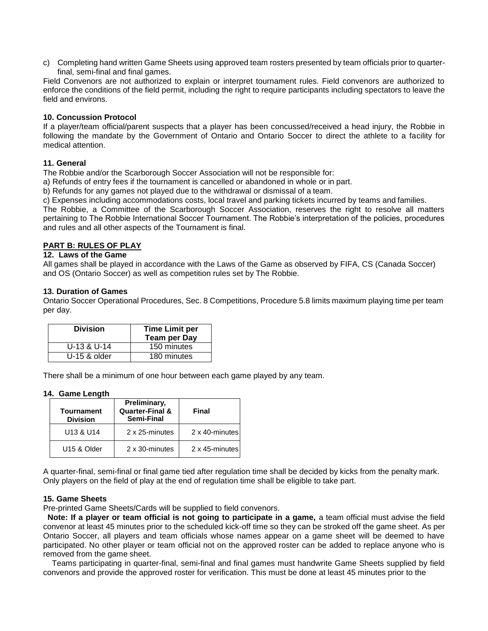c) Completing hand written Game Sheets using approved team rosters presented by team officials prior to quarterfinal, semi-final and final games.

Field Convenors are not authorized to explain or interpret tournament rules. Field convenors are authorized to enforce the conditions of the field permit, including the right to require participants including spectators to leave the field and environs.

## **10. Concussion Protocol**

If a player/team official/parent suspects that a player has been concussed/received a head injury, the Robbie in following the mandate by the Government of Ontario and Ontario Soccer to direct the athlete to a facility for medical attention.

## **11. General**

The Robbie and/or the Scarborough Soccer Association will not be responsible for:

a) Refunds of entry fees if the tournament is cancelled or abandoned in whole or in part.

b) Refunds for any games not played due to the withdrawal or dismissal of a team.

c) Expenses including accommodations costs, local travel and parking tickets incurred by teams and families.

The Robbie, a Committee of the Scarborough Soccer Association, reserves the right to resolve all matters pertaining to The Robbie International Soccer Tournament. The Robbie's interpretation of the policies, procedures and rules and all other aspects of the Tournament is final.

### **PART B: RULES OF PLAY**

## **12. Laws of the Game**

All games shall be played in accordance with the Laws of the Game as observed by FIFA, CS (Canada Soccer) and OS (Ontario Soccer) as well as competition rules set by The Robbie.

#### **13. Duration of Games**

Ontario Soccer Operational Procedures, Sec. 8 Competitions, Procedure 5.8 limits maximum playing time per team per day.

| <b>Division</b> | <b>Time Limit per</b><br><b>Team per Day</b> |
|-----------------|----------------------------------------------|
| $U-13$ & $U-14$ | 150 minutes                                  |
| $U-15$ & older  | 180 minutes                                  |

There shall be a minimum of one hour between each game played by any team.

#### **14. Game Length**

| <b>Tournament</b><br><b>Division</b> | Preliminary,<br><b>Quarter-Final &amp;</b><br>Semi-Final | Final          |
|--------------------------------------|----------------------------------------------------------|----------------|
| U13 & U14                            | 2 x 25-minutes                                           | 2 x 40-minutes |
| U <sub>15</sub> & Older              | 2 x 30-minutes                                           | 2 x 45-minutes |

A quarter-final, semi-final or final game tied after regulation time shall be decided by kicks from the penalty mark. Only players on the field of play at the end of regulation time shall be eligible to take part.

#### **15. Game Sheets**

Pre-printed Game Sheets/Cards will be supplied to field convenors.

**Note: If a player or team official is not going to participate in a game,** a team official must advise the field convenor at least 45 minutes prior to the scheduled kick-off time so they can be stroked off the game sheet. As per Ontario Soccer, all players and team officials whose names appear on a game sheet will be deemed to have participated. No other player or team official not on the approved roster can be added to replace anyone who is removed from the game sheet.

Teams participating in quarter-final, semi-final and final games must handwrite Game Sheets supplied by field convenors and provide the approved roster for verification. This must be done at least 45 minutes prior to the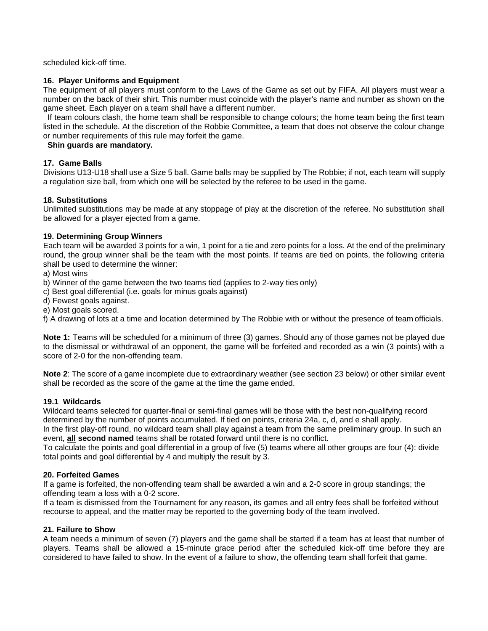scheduled kick-off time.

# **16. Player Uniforms and Equipment**

The equipment of all players must conform to the Laws of the Game as set out by FIFA. All players must wear a number on the back of their shirt. This number must coincide with the player's name and number as shown on the game sheet. Each player on a team shall have a different number.

If team colours clash, the home team shall be responsible to change colours; the home team being the first team listed in the schedule. At the discretion of the Robbie Committee, a team that does not observe the colour change or number requirements of this rule may forfeit the game.

# **Shin guards are mandatory.**

# **17. Game Balls**

Divisions U13-U18 shall use a Size 5 ball. Game balls may be supplied by The Robbie; if not, each team will supply a regulation size ball, from which one will be selected by the referee to be used in the game.

# **18. Substitutions**

Unlimited substitutions may be made at any stoppage of play at the discretion of the referee. No substitution shall be allowed for a player ejected from a game.

# **19. Determining Group Winners**

Each team will be awarded 3 points for a win, 1 point for a tie and zero points for a loss. At the end of the preliminary round, the group winner shall be the team with the most points. If teams are tied on points, the following criteria shall be used to determine the winner:

# a) Most wins

b) Winner of the game between the two teams tied (applies to 2-way ties only)

- c) Best goal differential (i.e. goals for minus goals against)
- d) Fewest goals against.
- e) Most goals scored.

f) A drawing of lots at a time and location determined by The Robbie with or without the presence of team officials.

**Note 1:** Teams will be scheduled for a minimum of three (3) games. Should any of those games not be played due to the dismissal or withdrawal of an opponent, the game will be forfeited and recorded as a win (3 points) with a score of 2-0 for the non-offending team.

**Note 2**: The score of a game incomplete due to extraordinary weather (see section 23 below) or other similar event shall be recorded as the score of the game at the time the game ended.

## **19.1 Wildcards**

Wildcard teams selected for quarter-final or semi-final games will be those with the best non-qualifying record determined by the number of points accumulated. If tied on points, criteria 24a, c, d, and e shall apply.

In the first play-off round, no wildcard team shall play against a team from the same preliminary group. In such an event, **all second named** teams shall be rotated forward until there is no conflict.

To calculate the points and goal differential in a group of five (5) teams where all other groups are four (4): divide total points and goal differential by 4 and multiply the result by 3.

## **20. Forfeited Games**

If a game is forfeited, the non-offending team shall be awarded a win and a 2-0 score in group standings; the offending team a loss with a 0-2 score.

If a team is dismissed from the Tournament for any reason, its games and all entry fees shall be forfeited without recourse to appeal, and the matter may be reported to the governing body of the team involved.

## **21. Failure to Show**

A team needs a minimum of seven (7) players and the game shall be started if a team has at least that number of players. Teams shall be allowed a 15-minute grace period after the scheduled kick-off time before they are considered to have failed to show. In the event of a failure to show, the offending team shall forfeit that game.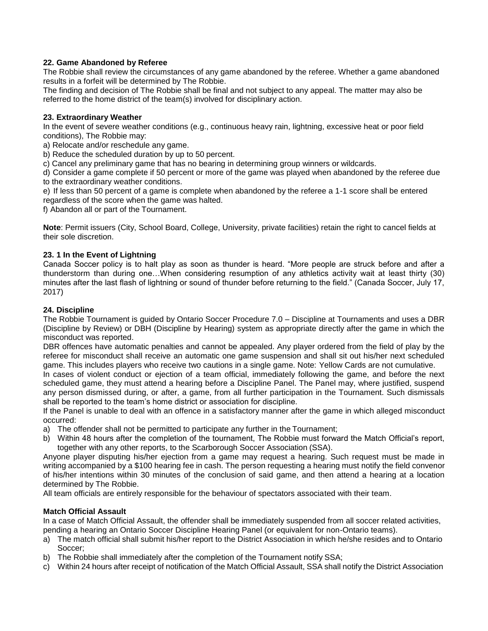# **22. Game Abandoned by Referee**

The Robbie shall review the circumstances of any game abandoned by the referee. Whether a game abandoned results in a forfeit will be determined by The Robbie.

The finding and decision of The Robbie shall be final and not subject to any appeal. The matter may also be referred to the home district of the team(s) involved for disciplinary action.

## **23. Extraordinary Weather**

In the event of severe weather conditions (e.g., continuous heavy rain, lightning, excessive heat or poor field conditions), The Robbie may:

a) Relocate and/or reschedule any game.

b) Reduce the scheduled duration by up to 50 percent.

c) Cancel any preliminary game that has no bearing in determining group winners or wildcards.

d) Consider a game complete if 50 percent or more of the game was played when abandoned by the referee due to the extraordinary weather conditions.

e) If less than 50 percent of a game is complete when abandoned by the referee a 1-1 score shall be entered regardless of the score when the game was halted.

f) Abandon all or part of the Tournament.

**Note**: Permit issuers (City, School Board, College, University, private facilities) retain the right to cancel fields at their sole discretion.

## **23. 1 In the Event of Lightning**

Canada Soccer policy is to halt play as soon as thunder is heard. "More people are struck before and after a thunderstorm than during one…When considering resumption of any athletics activity wait at least thirty (30) minutes after the last flash of lightning or sound of thunder before returning to the field." (Canada Soccer, July 17, 2017)

## **24. Discipline**

The Robbie Tournament is guided by Ontario Soccer Procedure 7.0 – Discipline at Tournaments and uses a DBR (Discipline by Review) or DBH (Discipline by Hearing) system as appropriate directly after the game in which the misconduct was reported.

DBR offences have automatic penalties and cannot be appealed. Any player ordered from the field of play by the referee for misconduct shall receive an automatic one game suspension and shall sit out his/her next scheduled game. This includes players who receive two cautions in a single game. Note: Yellow Cards are not cumulative.

In cases of violent conduct or ejection of a team official, immediately following the game, and before the next scheduled game, they must attend a hearing before a Discipline Panel. The Panel may, where justified, suspend any person dismissed during, or after, a game, from all further participation in the Tournament. Such dismissals shall be reported to the team's home district or association for discipline.

If the Panel is unable to deal with an offence in a satisfactory manner after the game in which alleged misconduct occurred:

- a) The offender shall not be permitted to participate any further in the Tournament;
- b) Within 48 hours after the completion of the tournament, The Robbie must forward the Match Official's report, together with any other reports, to the Scarborough Soccer Association (SSA).

Anyone player disputing his/her ejection from a game may request a hearing. Such request must be made in writing accompanied by a \$100 hearing fee in cash. The person requesting a hearing must notify the field convenor of his/her intentions within 30 minutes of the conclusion of said game, and then attend a hearing at a location determined by The Robbie.

All team officials are entirely responsible for the behaviour of spectators associated with their team.

#### **Match Official Assault**

In a case of Match Official Assault, the offender shall be immediately suspended from all soccer related activities, pending a hearing an Ontario Soccer Discipline Hearing Panel (or equivalent for non-Ontario teams).

- a) The match official shall submit his/her report to the District Association in which he/she resides and to Ontario Soccer;
- b) The Robbie shall immediately after the completion of the Tournament notify SSA;
- c) Within 24 hours after receipt of notification of the Match Official Assault, SSA shall notify the District Association